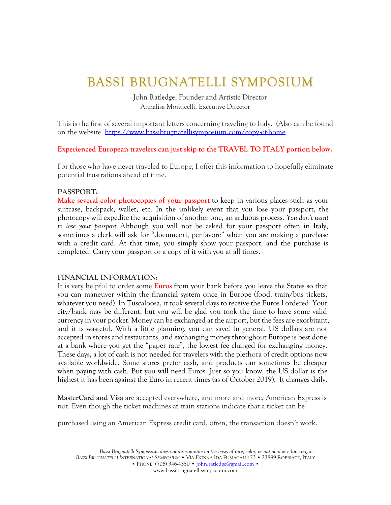# **BASSI BRUGNATELLI SYMPOSIUM**

John Ratledge, Founder and Artistic Director Annalisa Monticelli, Executive Director

This is the first of several important letters concerning traveling to Italy. (Also can be found on the website:<https://www.bassibrugnatellisymposium.com/copy-of-home>

**Experienced European travelers can just skip to the TRAVEL TO ITALY portion below.**

For those who have never traveled to Europe, I offer this information to hopefully eliminate potential frustrations ahead of time.

#### **PASSPORT:**

**Make several color photocopies of your passport** to keep in various places such as your suitcase, backpack, wallet, etc. In the unlikely event that you lose your passport, the photocopy will expedite the acquisition of another one, an arduous process. *You don't want to lose your passport.* Although you will not be asked for your passport often in Italy, sometimes a clerk will ask for "documenti, per favore" when you are making a purchase with a credit card. At that time, you simply show your passport, and the purchase is completed. Carry your passport or a copy of it with you at all times.

#### **FINANCIAL INFORMATION:**

It is very helpful to order some **Euros** from your bank before you leave the States so that you can maneuver within the financial system once in Europe (food, train/bus tickets, whatever you need). In Tuscaloosa, it took several days to receive the Euros I ordered. Your city/bank may be different, but you will be glad you took the time to have some valid currency in your pocket. Money can be exchanged at the airport, but the fees are exorbitant, and it is wasteful. With a little planning, you can save! In general, US dollars are not accepted in stores and restaurants, and exchanging money throughout Europe is best done at a bank where you get the "paper rate", the lowest fee charged for exchanging money. These days, a lot of cash is not needed for travelers with the plethora of credit options now available worldwide. Some stores prefer cash, and products can sometimes be cheaper when paying with cash. But you will need Euros. Just so you know, the US dollar is the highest it has been against the Euro in recent times (as of October 2019). It changes daily.

**MasterCard and Visa** are accepted everywhere, and more and more, American Express is not. Even though the ticket machines at train stations indicate that a ticket can be

purchased using an American Express credit card, often, the transaction doesn't work.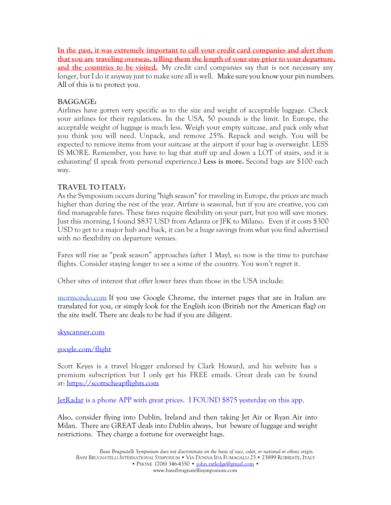**In the past, it was extremely important to call your credit card companies and alert them that you are traveling overseas, telling them the length of your stay prior to your departure, and the countries to be visited.** My credit card companies say that is not necessary any longer, but I do it anyway just to make sure all is well. Make sure you know your pin numbers. All of this is to protect you.

# **BAGGAGE:**

Airlines have gotten very specific as to the size and weight of acceptable luggage. Check your airlines for their regulations. In the USA, 50 pounds is the limit. In Europe, the acceptable weight of luggage is much less. Weigh your empty suitcase, and pack only what you think you will need. Unpack, and remove 25%. Repack and weigh. You will be expected to remove items from your suitcase at the airport if your bag is overweight. LESS IS MORE. Remember, you have to lug that stuff up and down a LOT of stairs, and it is exhausting! (I speak from personal experience.) **Less is more.** Second bags are \$100 each way.

# **TRAVEL TO ITALY:**

As the Symposium occurs during "high season" for traveling in Europe, the prices are much higher than during the rest of the year. Airfare is seasonal, but if you are creative, you can find manageable fares. These fares require flexibility on your part, but you will save money. Just this morning, I found \$837 USD from Atlanta or JFK to Milano. Even if it costs \$300 USD to get to a major hub and back, it can be a huge savings from what you find advertised with no flexibility on departure venues.

Fares will rise as "peak season" approaches (after 1 May), so now is the time to purchase flights. Consider staying longer to see a some of the country. You won't regret it.

Other sites of interest that offer lower fares than those in the USA include:

[mormondo.com](http://mormondo.com/) If you use Google Chrome, the internet pages that are in Italian are translated for you, or simply look for the English icon (British not the American flag) on the site itself. There are deals to be had if you are diligent.

## [skyscanner.com](http://skyscanner.com/)

## [google.com/flight](http://googleflights.com/)

Scott Keyes is a travel blogger endorsed by Clark Howard, and his website has a premium subscription but I only get his FREE emails. Great deals can be found at: [https://scottscheapflights.com](https://scottscheapflights.com/)

JetRadar is a phone APP with great prices. I FOUND \$875 yesterday on this app.

Also, consider flying into Dublin, Ireland and then taking Jet Air or Ryan Air into Milan. There are GREAT deals into Dublin always, but beware of luggage and weight restrictions. They charge a fortune for overweight bags.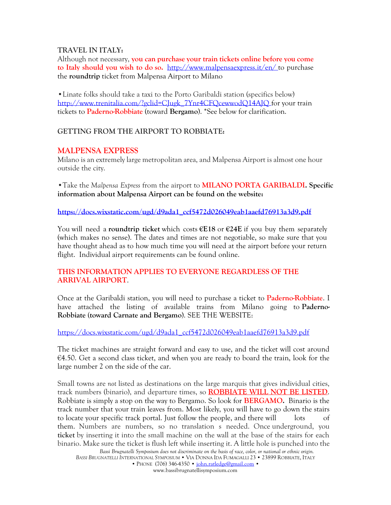#### **TRAVEL IN ITALY:**

Although not necessary, **you can purchase your train tickets online before you come to Italy should you wish to do so.** <http://www.malpensaexpress.it/en/> to purchase the **roundtrip** ticket from Malpensa Airport to Milano

•Linate folks should take a taxi to the Porto Garibaldi station (specifics below) [http://www.trenitalia.com/?gclid=CJugk\\_7Ynr4CFQcewwodQ14AJQ](http://www.trenitalia.com/?gclid=CJugk_7Ynr4CFQcewwodQ14AJQ) for your train tickets to **Paderno-Robbiate** (toward **Bergamo**). \*See below for clarification.

## **GETTING FROM THE AIRPORT TO ROBBIATE:**

## **MALPENSA EXPRESS**

Milano is an extremely large metropolitan area, and Malpensa Airport is almost one hour outside the city.

•Take the *Malpensa Express* from the airport to **MILANO PORTA GARIBALDI. Specific information about Malpensa Airport can be found on the website:**

**[https://docs.wixstatic.com/ugd/d9ada1\\_ccf5472d026049eab1aaefd76913a3d9.pdf](https://docs.wixstatic.com/ugd/d9ada1_ccf5472d026049eab1aaefd76913a3d9.pdf)**

You will need a **roundtrip ticket** which costs **€E18** or **€24E** if you buy them separately (which makes no sense). The dates and times are not negotiable, so make sure that you have thought ahead as to how much time you will need at the airport before your return flight. Individual airport requirements can be found online.

## **THIS INFORMATION APPLIES TO EVERYONE REGARDLESS OF THE ARRIVAL AIRPORT**.

Once at the Garibaldi station, you will need to purchase a ticket to **Paderno-Robbiate**. I have attached the listing of available trains from Milano going to **Paderno-Robbiate** (**toward Carnate and Bergamo**). SEE THE WEBSITE:

[https://docs.wixstatic.com/ugd/d9ada1\\_ccf5472d026049eab1aaefd76913a3d9.pdf](https://docs.wixstatic.com/ugd/d9ada1_ccf5472d026049eab1aaefd76913a3d9.pdf)

The ticket machines are straight forward and easy to use, and the ticket will cost around €4.50. Get a second class ticket, and when you are ready to board the train, look for the large number 2 on the side of the car.

Small towns are *not* listed as destinations on the large marquis that gives individual cities, track numbers (binario), and departure times, so **ROBBIATE WILL NOT BE LISTED**. Robbiate is simply a stop on the way to Bergamo. So look for **BERGAMO.** Binario is the track number that your train leaves from. Most likely, you will have to go down the stairs to locate your specific track portal. Just follow the people, and there will lots of them. Numbers are numbers, so no translation s needed. Once underground, you **ticket** by inserting it into the small machine on the wall at the base of the stairs for each binario. Make sure the ticket is flush left while inserting it. A little hole is punched into the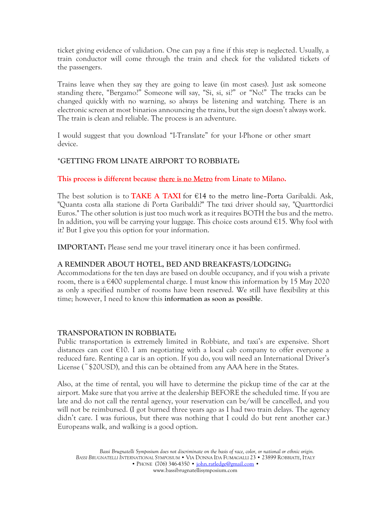ticket giving evidence of validation. One can pay a fine if this step is neglected. Usually, a train conductor will come through the train and check for the validated tickets of the passengers.

Trains leave when they say they are going to leave (in most cases). Just ask someone standing there, "Bergamo?" Someone will say, "Si, si, si?" or "No!" The tracks can be changed quickly with no warning, so always be listening and watching. There is an electronic screen at most binarios announcing the trains, but the sign doesn't always work. The train is clean and reliable. The process is an adventure.

I would suggest that you download "I-Translate" for your I-Phone or other smart device.

# **\*GETTING FROM LINATE AIRPORT TO ROBBIATE:**

## **This process is different because there is no Metro from Linate to Milano.**

The best solution is to **TAKE A TAXI** for €14 to the metro line–Porta Garibaldi. Ask, "Quanta costa alla stazione di Porta Garibaldi?" The taxi driver should say, "Quarttordici Euros." The other solution is just too much work as it requires BOTH the bus and the metro. In addition, you will be carrying your luggage. This choice costs around €15. Why fool with it? But I give you this option for your information.

**IMPORTANT:** Please send me your travel itinerary once it has been confirmed.

## **A REMINDER ABOUT HOTEL, BED AND BREAKFASTS/LODGING:**

Accommodations for the ten days are based on double occupancy, and if you wish a private room, there is a  $\epsilon$ 400 supplemental charge. I must know this information by 15 May 2020 as only a specified number of rooms have been reserved. We still have flexibility at this time; however, I need to know this **information as soon as possible**.

## **TRANSPORATION IN ROBBIATE:**

Public transportation is extremely limited in Robbiate, and taxi's are expensive. Short distances can cost  $\epsilon$ 10. I am negotiating with a local cab company to offer everyone a reduced fare. Renting a car is an option. If you do, you will need an International Driver's License (~\$20USD), and this can be obtained from any AAA here in the States.

Also, at the time of rental, you will have to determine the pickup time of the car at the airport. Make sure that you arrive at the dealership BEFORE the scheduled time. If you are late and do not call the rental agency, your reservation can be/will be cancelled, and you will not be reimbursed. (I got burned three years ago as I had two train delays. The agency didn't care. I was furious, but there was nothing that I could do but rent another car.) Europeans walk, and walking is a good option.